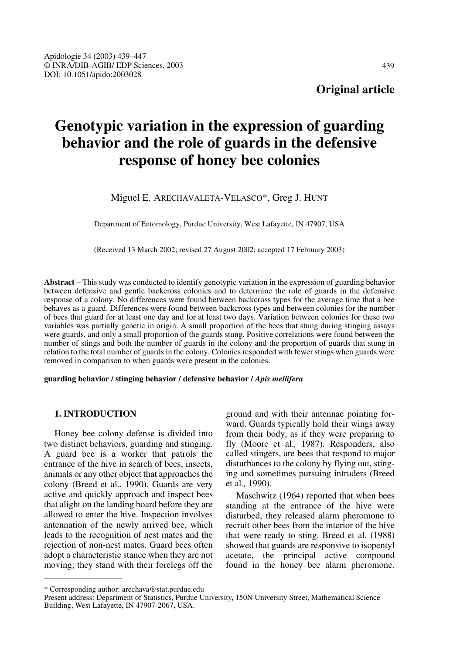# **Genotypic variation in the expression of guarding behavior and the role of guards in the defensive response of honey bee colonies**

Miguel E. ARECHAVALETA-VELASCO\*, Greg J. HUNT

Department of Entomology, Purdue University, West Lafayette, IN 47907, USA

(Received 13 March 2002; revised 27 August 2002; accepted 17 February 2003)

**Abstract** – This study was conducted to identify genotypic variation in the expression of guarding behavior between defensive and gentle backcross colonies and to determine the role of guards in the defensive response of a colony. No differences were found between backcross types for the average time that a bee behaves as a guard. Differences were found between backcross types and between colonies for the number of bees that guard for at least one day and for at least two days. Variation between colonies for these two variables was partially genetic in origin. A small proportion of the bees that stung during stinging assays were guards, and only a small proportion of the guards stung. Positive correlations were found between the number of stings and both the number of guards in the colony and the proportion of guards that stung in relation to the total number of guards in the colony. Colonies responded with fewer stings when guards were removed in comparison to when guards were present in the colonies.

**guarding behavior / stinging behavior / defensive behavior /** *Apis mellifera*

# **1. INTRODUCTION**

Honey bee colony defense is divided into two distinct behaviors, guarding and stinging. A guard bee is a worker that patrols the entrance of the hive in search of bees, insects, animals or any other object that approaches the colony (Breed et al., 1990). Guards are very active and quickly approach and inspect bees that alight on the landing board before they are allowed to enter the hive. Inspection involves antennation of the newly arrived bee, which leads to the recognition of nest mates and the rejection of non-nest mates. Guard bees often adopt a characteristic stance when they are not moving; they stand with their forelegs off the ground and with their antennae pointing forward. Guards typically hold their wings away from their body, as if they were preparing to fly (Moore et al.*,* 1987). Responders, also called stingers, are bees that respond to major disturbances to the colony by flying out, stinging and sometimes pursuing intruders (Breed et al*.,* 1990).

Maschwitz (1964) reported that when bees standing at the entrance of the hive were disturbed, they released alarm pheromone to recruit other bees from the interior of the hive that were ready to sting. Breed et al. (1988) showed that guards are responsive to isopentyl acetate, the principal active compound found in the honey bee alarm pheromone.

<sup>\*</sup> Corresponding author: arechava@stat.purdue.edu

Present address: Department of Statistics, Purdue University, 150N University Street, Mathematical Science Building, West Lafayette, IN 47907-2067, USA.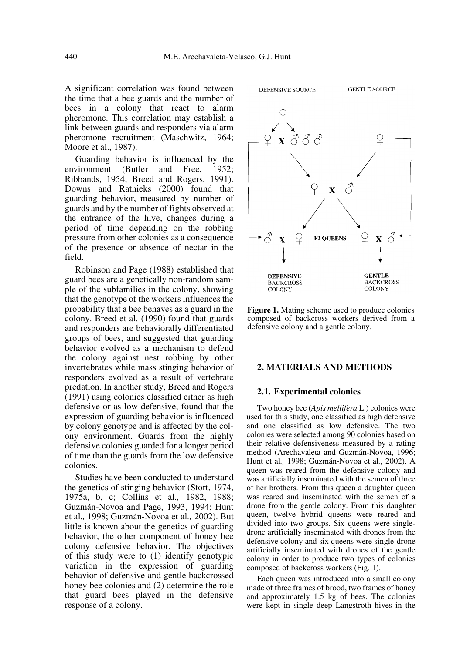A significant correlation was found between the time that a bee guards and the number of bees in a colony that react to alarm pheromone. This correlation may establish a link between guards and responders via alarm pheromone recruitment (Maschwitz, 1964; Moore et al., 1987).

Guarding behavior is influenced by the environment (Butler and Free, 1952; Ribbands, 1954; Breed and Rogers, 1991). Downs and Ratnieks (2000) found that guarding behavior, measured by number of guards and by the number of fights observed at the entrance of the hive, changes during a period of time depending on the robbing pressure from other colonies as a consequence of the presence or absence of nectar in the field.

Robinson and Page (1988) established that guard bees are a genetically non-random sample of the subfamilies in the colony, showing that the genotype of the workers influences the probability that a bee behaves as a guard in the colony. Breed et al*.* (1990) found that guards and responders are behaviorally differentiated groups of bees, and suggested that guarding behavior evolved as a mechanism to defend the colony against nest robbing by other invertebrates while mass stinging behavior of responders evolved as a result of vertebrate predation. In another study, Breed and Rogers (1991) using colonies classified either as high defensive or as low defensive, found that the expression of guarding behavior is influenced by colony genotype and is affected by the colony environment. Guards from the highly defensive colonies guarded for a longer period of time than the guards from the low defensive colonies.

Studies have been conducted to understand the genetics of stinging behavior (Stort, 1974, 1975a, b, c; Collins et al*.,* 1982, 1988; Guzmán-Novoa and Page, 1993, 1994; Hunt et al*.,* 1998; Guzmán-Novoa et al*.,* 2002). But little is known about the genetics of guarding behavior, the other component of honey bee colony defensive behavior. The objectives of this study were to (1) identify genotypic variation in the expression of guarding behavior of defensive and gentle backcrossed honey bee colonies and (2) determine the role that guard bees played in the defensive response of a colony.



**Figure 1.** Mating scheme used to produce colonies composed of backcross workers derived from a defensive colony and a gentle colony.

#### **2. MATERIALS AND METHODS**

#### **2.1. Experimental colonies**

Two honey bee (*Apis mellifera* L.) colonies were used for this study, one classified as high defensive and one classified as low defensive. The two colonies were selected among 90 colonies based on their relative defensiveness measured by a rating method (Arechavaleta and Guzmán-Novoa, 1996; Hunt et al*.,* 1998; Guzmán-Novoa et al*.,* 2002). A queen was reared from the defensive colony and was artificially inseminated with the semen of three of her brothers. From this queen a daughter queen was reared and inseminated with the semen of a drone from the gentle colony. From this daughter queen, twelve hybrid queens were reared and divided into two groups. Six queens were singledrone artificially inseminated with drones from the defensive colony and six queens were single-drone artificially inseminated with drones of the gentle colony in order to produce two types of colonies composed of backcross workers (Fig. 1).

Each queen was introduced into a small colony made of three frames of brood, two frames of honey and approximately 1.5 kg of bees. The colonies were kept in single deep Langstroth hives in the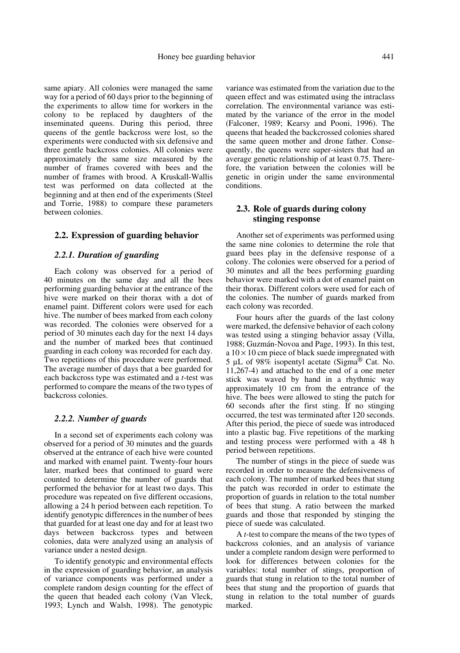same apiary. All colonies were managed the same way for a period of 60 days prior to the beginning of the experiments to allow time for workers in the colony to be replaced by daughters of the inseminated queens. During this period, three queens of the gentle backcross were lost, so the experiments were conducted with six defensive and three gentle backcross colonies. All colonies were approximately the same size measured by the number of frames covered with bees and the number of frames with brood. A Kruskall-Wallis test was performed on data collected at the beginning and at then end of the experiments (Steel and Torrie, 1988) to compare these parameters between colonies.

#### **2.2. Expression of guarding behavior**

#### *2.2.1. Duration of guarding*

Each colony was observed for a period of 40 minutes on the same day and all the bees performing guarding behavior at the entrance of the hive were marked on their thorax with a dot of enamel paint. Different colors were used for each hive. The number of bees marked from each colony was recorded. The colonies were observed for a period of 30 minutes each day for the next 14 days and the number of marked bees that continued guarding in each colony was recorded for each day. Two repetitions of this procedure were performed. The average number of days that a bee guarded for each backcross type was estimated and a *t*-test was performed to compare the means of the two types of backcross colonies.

# *2.2.2. Number of guards*

In a second set of experiments each colony was observed for a period of 30 minutes and the guards observed at the entrance of each hive were counted and marked with enamel paint. Twenty-four hours later, marked bees that continued to guard were counted to determine the number of guards that performed the behavior for at least two days. This procedure was repeated on five different occasions, allowing a 24 h period between each repetition. To identify genotypic differences in the number of bees that guarded for at least one day and for at least two days between backcross types and between colonies, data were analyzed using an analysis of variance under a nested design.

To identify genotypic and environmental effects in the expression of guarding behavior, an analysis of variance components was performed under a complete random design counting for the effect of the queen that headed each colony (Van Vleck, 1993; Lynch and Walsh, 1998). The genotypic variance was estimated from the variation due to the queen effect and was estimated using the intraclass correlation. The environmental variance was estimated by the variance of the error in the model (Falconer, 1989; Kearsy and Pooni, 1996). The queens that headed the backcrossed colonies shared the same queen mother and drone father. Consequently, the queens were super-sisters that had an average genetic relationship of at least 0.75. Therefore, the variation between the colonies will be genetic in origin under the same environmental conditions.

# **2.3. Role of guards during colony stinging response**

Another set of experiments was performed using the same nine colonies to determine the role that guard bees play in the defensive response of a colony. The colonies were observed for a period of 30 minutes and all the bees performing guarding behavior were marked with a dot of enamel paint on their thorax. Different colors were used for each of the colonies. The number of guards marked from each colony was recorded.

Four hours after the guards of the last colony were marked, the defensive behavior of each colony was tested using a stinging behavior assay (Villa, 1988; Guzmán-Novoa and Page, 1993). In this test, a  $10 \times 10$  cm piece of black suede impregnated with 5 µL of 98% isopentyl acetate (Sigma<sup>®</sup> Cat. No. 11,267-4) and attached to the end of a one meter stick was waved by hand in a rhythmic way approximately 10 cm from the entrance of the hive. The bees were allowed to sting the patch for 60 seconds after the first sting. If no stinging occurred, the test was terminated after 120 seconds. After this period, the piece of suede was introduced into a plastic bag. Five repetitions of the marking and testing process were performed with a 48 h period between repetitions.

The number of stings in the piece of suede was recorded in order to measure the defensiveness of each colony. The number of marked bees that stung the patch was recorded in order to estimate the proportion of guards in relation to the total number of bees that stung. A ratio between the marked guards and those that responded by stinging the piece of suede was calculated.

A *t*-test to compare the means of the two types of backcross colonies, and an analysis of variance under a complete random design were performed to look for differences between colonies for the variables: total number of stings, proportion of guards that stung in relation to the total number of bees that stung and the proportion of guards that stung in relation to the total number of guards marked.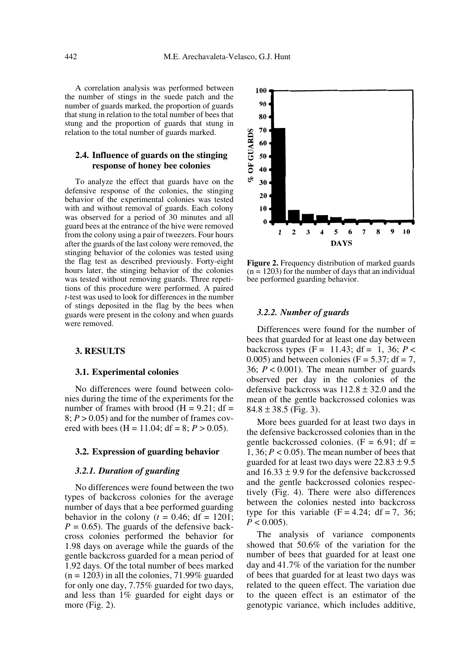A correlation analysis was performed between the number of stings in the suede patch and the number of guards marked, the proportion of guards that stung in relation to the total number of bees that stung and the proportion of guards that stung in relation to the total number of guards marked.

## **2.4. Influence of guards on the stinging response of honey bee colonies**

To analyze the effect that guards have on the defensive response of the colonies, the stinging behavior of the experimental colonies was tested with and without removal of guards. Each colony was observed for a period of 30 minutes and all guard bees at the entrance of the hive were removed from the colony using a pair of tweezers. Four hours after the guards of the last colony were removed, the stinging behavior of the colonies was tested using the flag test as described previously. Forty-eight hours later, the stinging behavior of the colonies was tested without removing guards. Three repetitions of this procedure were performed. A paired *t*-test was used to look for differences in the number of stings deposited in the flag by the bees when guards were present in the colony and when guards were removed.

## **3. RESULTS**

## **3.1. Experimental colonies**

No differences were found between colonies during the time of the experiments for the number of frames with brood  $(H = 9.21$ ; df =  $8: P > 0.05$  and for the number of frames covered with bees  $(H = 11.04$ ;  $df = 8$ ;  $P > 0.05$ ).

# **3.2. Expression of guarding behavior**

# *3.2.1. Duration of guarding*

No differences were found between the two types of backcross colonies for the average number of days that a bee performed guarding behavior in the colony ( $t = 0.46$ ; df = 1201;  $P = 0.65$ ). The guards of the defensive backcross colonies performed the behavior for 1.98 days on average while the guards of the gentle backcross guarded for a mean period of 1.92 days. Of the total number of bees marked  $(n = 1203)$  in all the colonies, 71.99% guarded for only one day, 7.75% guarded for two days, and less than 1% guarded for eight days or more (Fig. 2).



**Figure 2.** Frequency distribution of marked guards  $(n = 1203)$  for the number of days that an individual bee performed guarding behavior.

#### *3.2.2. Number of guards*

Differences were found for the number of bees that guarded for at least one day between backcross types  $(F = 11.43; df = 1, 36; P <$  $0.005$ ) and between colonies (F = 5.37; df = 7, 36;  $P < 0.001$ ). The mean number of guards observed per day in the colonies of the defensive backcross was  $112.8 \pm 32.0$  and the mean of the gentle backcrossed colonies was  $84.8 \pm 38.5$  (Fig. 3).

More bees guarded for at least two days in the defensive backcrossed colonies than in the gentle backcrossed colonies.  $(F = 6.91; df =$ 1, 36;  $P < 0.05$ ). The mean number of bees that guarded for at least two days were  $22.83 \pm 9.5$ and  $16.33 \pm 9.9$  for the defensive backcrossed and the gentle backcrossed colonies respectively (Fig. 4). There were also differences between the colonies nested into backcross type for this variable  $(F = 4.24; df = 7, 36;$  $P < 0.005$ ).

The analysis of variance components showed that 50.6% of the variation for the number of bees that guarded for at least one day and 41.7% of the variation for the number of bees that guarded for at least two days was related to the queen effect. The variation due to the queen effect is an estimator of the genotypic variance, which includes additive,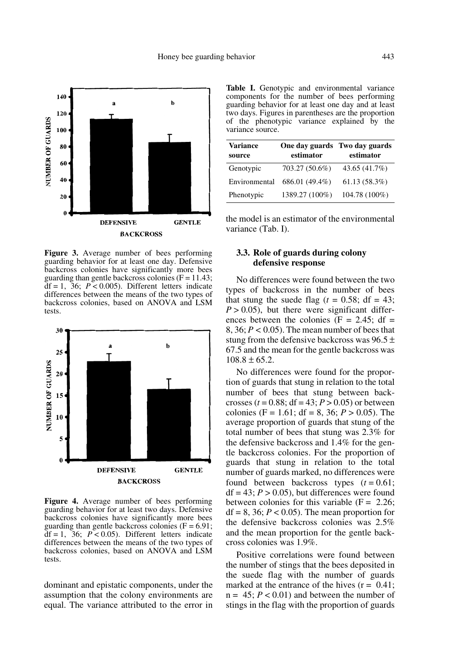

**Figure 3.** Average number of bees performing guarding behavior for at least one day. Defensive backcross colonies have significantly more bees guarding than gentle backcross colonies ( $F = 11.43$ ;  $df = 1$ ,  $36$ ;  $P < 0.005$ ). Different letters indicate differences between the means of the two types of backcross colonies, based on ANOVA and LSM tests.



**Figure 4.** Average number of bees performing guarding behavior for at least two days. Defensive backcross colonies have significantly more bees guarding than gentle backcross colonies  $(F = 6.91)$ ;  $df = 1$ ,  $36$ ;  $P < 0.05$ ). Different letters indicate differences between the means of the two types of backcross colonies, based on ANOVA and LSM tests.

dominant and epistatic components, under the assumption that the colony environments are equal. The variance attributed to the error in

**Table I.** Genotypic and environmental variance components for the number of bees performing guarding behavior for at least one day and at least two days. Figures in parentheses are the proportion of the phenotypic variance explained by the variance source.

| <b>Variance</b><br>source | One day guards Two day guards<br>estimator | estimator     |  |
|---------------------------|--------------------------------------------|---------------|--|
| Genotypic                 | 703.27 (50.6%)                             | 43.65 (41.7%) |  |
| Environmental             | 686.01 (49.4%)                             | 61.13(58.3%)  |  |
| Phenotypic                | 1389.27 (100%)                             | 104.78 (100%) |  |

the model is an estimator of the environmental variance (Tab. I).

# **3.3. Role of guards during colony defensive response**

No differences were found between the two types of backcross in the number of bees that stung the suede flag ( $t = 0.58$ ; df = 43;  $P > 0.05$ , but there were significant differences between the colonies ( $F = 2.45$ ; df = 8, 36;  $P < 0.05$ ). The mean number of bees that stung from the defensive backcross was  $96.5 \pm$ 67.5 and the mean for the gentle backcross was  $108.8 \pm 65.2$ .

No differences were found for the proportion of guards that stung in relation to the total number of bees that stung between backcrosses ( $t = 0.88$ ; df = 43;  $P > 0.05$ ) or between colonies (F = 1.61; df = 8, 36;  $P > 0.05$ ). The average proportion of guards that stung of the total number of bees that stung was 2.3% for the defensive backcross and 1.4% for the gentle backcross colonies. For the proportion of guards that stung in relation to the total number of guards marked, no differences were found between backcross types  $(t = 0.61)$ ;  $df = 43$ ;  $P > 0.05$ ), but differences were found between colonies for this variable  $(F = 2.26)$ .  $df = 8$ , 36;  $P < 0.05$ ). The mean proportion for the defensive backcross colonies was 2.5% and the mean proportion for the gentle backcross colonies was 1.9%.

Positive correlations were found between the number of stings that the bees deposited in the suede flag with the number of guards marked at the entrance of the hives  $(r = 0.41)$ ;  $n = 45$ ;  $P < 0.01$ ) and between the number of stings in the flag with the proportion of guards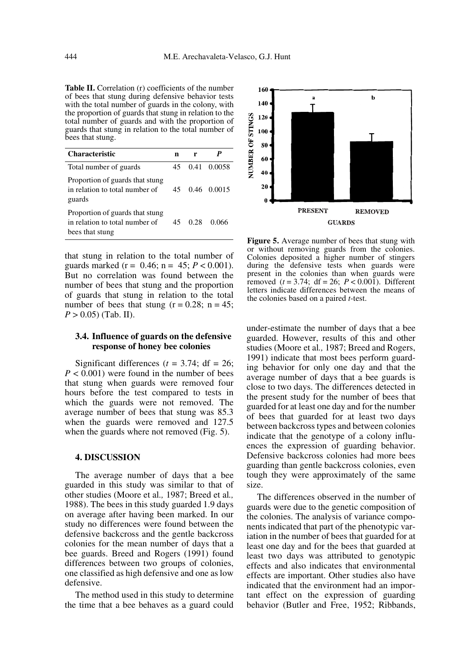**Table II.** Correlation (r) coefficients of the number of bees that stung during defensive behavior tests with the total number of guards in the colony, with the proportion of guards that stung in relation to the total number of guards and with the proportion of guards that stung in relation to the total number of bees that stung.

| <b>Characteristic</b>                                                                | n   | r    |                |
|--------------------------------------------------------------------------------------|-----|------|----------------|
| Total number of guards                                                               | 45. |      | 0.41 0.0058    |
| Proportion of guards that stung<br>in relation to total number of<br>guards          |     |      | 45 0.46 0.0015 |
| Proportion of guards that stung<br>in relation to total number of<br>bees that stung | 45. | 0.28 | 0.066          |

that stung in relation to the total number of guards marked ( $r = 0.46$ ;  $n = 45$ ;  $P < 0.001$ ). But no correlation was found between the number of bees that stung and the proportion of guards that stung in relation to the total number of bees that stung  $(r = 0.28; n = 45;$  $P > 0.05$ ) (Tab. II).

## **3.4. Influence of guards on the defensive response of honey bee colonies**

Significant differences ( $t = 3.74$ ; df = 26;  $P < 0.001$ ) were found in the number of bees that stung when guards were removed four hours before the test compared to tests in which the guards were not removed. The average number of bees that stung was 85.3 when the guards were removed and 127.5 when the guards where not removed (Fig. 5).

## **4. DISCUSSION**

The average number of days that a bee guarded in this study was similar to that of other studies (Moore et al*.,* 1987; Breed et al*.,* 1988). The bees in this study guarded 1.9 days on average after having been marked. In our study no differences were found between the defensive backcross and the gentle backcross colonies for the mean number of days that a bee guards. Breed and Rogers (1991) found differences between two groups of colonies, one classified as high defensive and one as low defensive.

The method used in this study to determine the time that a bee behaves as a guard could



**Figure 5.** Average number of bees that stung with or without removing guards from the colonies. Colonies deposited a higher number of stingers during the defensive tests when guards were present in the colonies than when guards were removed  $(t = 3.74; df = 26; P < 0.001)$ . Different letters indicate differences between the means of the colonies based on a paired *t*-test.

under-estimate the number of days that a bee guarded. However, results of this and other studies (Moore et al*.,* 1987; Breed and Rogers, 1991) indicate that most bees perform guarding behavior for only one day and that the average number of days that a bee guards is close to two days. The differences detected in the present study for the number of bees that guarded for at least one day and for the number of bees that guarded for at least two days between backcross types and between colonies indicate that the genotype of a colony influences the expression of guarding behavior. Defensive backcross colonies had more bees guarding than gentle backcross colonies, even tough they were approximately of the same size.

The differences observed in the number of guards were due to the genetic composition of the colonies. The analysis of variance components indicated that part of the phenotypic variation in the number of bees that guarded for at least one day and for the bees that guarded at least two days was attributed to genotypic effects and also indicates that environmental effects are important. Other studies also have indicated that the environment had an important effect on the expression of guarding behavior (Butler and Free, 1952; Ribbands,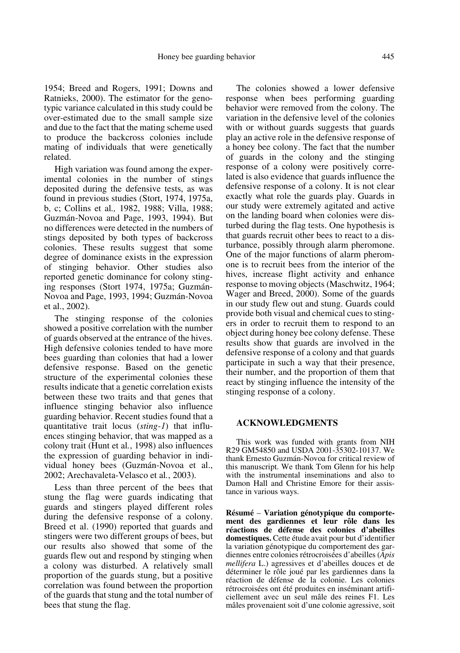1954; Breed and Rogers, 1991; Downs and Ratnieks, 2000). The estimator for the genotypic variance calculated in this study could be over-estimated due to the small sample size and due to the fact that the mating scheme used to produce the backcross colonies include mating of individuals that were genetically related.

High variation was found among the experimental colonies in the number of stings deposited during the defensive tests, as was found in previous studies (Stort, 1974, 1975a, b, c; Collins et al*.,* 1982, 1988; Villa, 1988; Guzmán-Novoa and Page, 1993, 1994). But no differences were detected in the numbers of stings deposited by both types of backcross colonies. These results suggest that some degree of dominance exists in the expression of stinging behavior. Other studies also reported genetic dominance for colony stinging responses (Stort 1974, 1975a; Guzmán-Novoa and Page, 1993, 1994; Guzmán-Novoa et al., 2002).

The stinging response of the colonies showed a positive correlation with the number of guards observed at the entrance of the hives. High defensive colonies tended to have more bees guarding than colonies that had a lower defensive response. Based on the genetic structure of the experimental colonies these results indicate that a genetic correlation exists between these two traits and that genes that influence stinging behavior also influence guarding behavior. Recent studies found that a quantitative trait locus (*sting-1*) that influences stinging behavior, that was mapped as a colony trait (Hunt et al*.*, 1998) also influences the expression of guarding behavior in individual honey bees (Guzmán-Novoa et al., 2002; Arechavaleta-Velasco et al*.*, 2003).

Less than three percent of the bees that stung the flag were guards indicating that guards and stingers played different roles during the defensive response of a colony. Breed et al. (1990) reported that guards and stingers were two different groups of bees, but our results also showed that some of the guards flew out and respond by stinging when a colony was disturbed. A relatively small proportion of the guards stung, but a positive correlation was found between the proportion of the guards that stung and the total number of bees that stung the flag.

The colonies showed a lower defensive response when bees performing guarding behavior were removed from the colony. The variation in the defensive level of the colonies with or without guards suggests that guards play an active role in the defensive response of a honey bee colony. The fact that the number of guards in the colony and the stinging response of a colony were positively correlated is also evidence that guards influence the defensive response of a colony. It is not clear exactly what role the guards play. Guards in our study were extremely agitated and active on the landing board when colonies were disturbed during the flag tests. One hypothesis is that guards recruit other bees to react to a disturbance, possibly through alarm pheromone. One of the major functions of alarm pheromone is to recruit bees from the interior of the hives, increase flight activity and enhance response to moving objects (Maschwitz, 1964; Wager and Breed, 2000). Some of the guards in our study flew out and stung. Guards could provide both visual and chemical cues to stingers in order to recruit them to respond to an object during honey bee colony defense. These results show that guards are involved in the defensive response of a colony and that guards participate in such a way that their presence, their number, and the proportion of them that react by stinging influence the intensity of the stinging response of a colony.

# **ACKNOWLEDGMENTS**

This work was funded with grants from NIH R29 GM54850 and USDA 2001-35302-10137. We thank Ernesto Guzmán-Novoa for critical review of this manuscript. We thank Tom Glenn for his help with the instrumental inseminations and also to Damon Hall and Christine Emore for their assistance in various ways.

**Résumé** – **Variation génotypique du comportement des gardiennes et leur rôle dans les réactions de défense des colonies d'abeilles domestiques.** Cette étude avait pour but d'identifier la variation génotypique du comportement des gardiennes entre colonies rétrocroisées d'abeilles (*Apis mellifera* L.) agressives et d'abeilles douces et de déterminer le rôle joué par les gardiennes dans la réaction de défense de la colonie. Les colonies rétrocroisées ont été produites en inséminant artificiellement avec un seul mâle des reines F1. Les mâles provenaient soit d'une colonie agressive, soit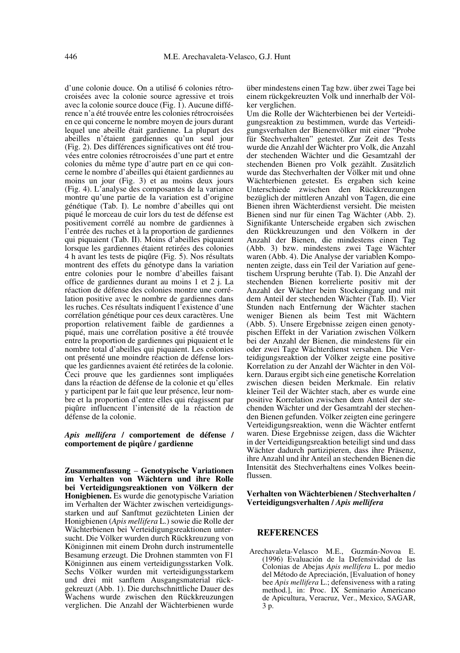d'une colonie douce. On a utilisé 6 colonies rétrocroisées avec la colonie source agressive et trois avec la colonie source douce (Fig. 1). Aucune différence n'a été trouvée entre les colonies rétrocroisées en ce qui concerne le nombre moyen de jours durant lequel une abeille était gardienne. La plupart des abeilles n'étaient gardiennes qu'un seul jour (Fig. 2). Des différences significatives ont été trouvées entre colonies rétrocroisées d'une part et entre colonies du même type d'autre part en ce qui concerne le nombre d'abeilles qui étaient gardiennes au moins un jour (Fig. 3) et au moins deux jours (Fig. 4). L'analyse des composantes de la variance montre qu'une partie de la variation est d'origine génétique (Tab. I). Le nombre d'abeilles qui ont piqué le morceau de cuir lors du test de défense est positivement corrélé au nombre de gardiennes à l'entrée des ruches et à la proportion de gardiennes qui piquaient (Tab. II). Moins d'abeilles piquaient lorsque les gardiennes étaient retirées des colonies 4 h avant les tests de piqûre (Fig. 5). Nos résultats montrent des effets du génotype dans la variation entre colonies pour le nombre d'abeilles faisant office de gardiennes durant au moins 1 et 2 j. La réaction de défense des colonies montre une corrélation positive avec le nombre de gardiennes dans les ruches. Ces résultats indiquent l'existence d'une corrélation génétique pour ces deux caractères. Une proportion relativement faible de gardiennes a piqué, mais une corrélation positive a été trouvée entre la proportion de gardiennes qui piquaient et le nombre total d'abeilles qui piquaient. Les colonies ont présenté une moindre réaction de défense lorsque les gardiennes avaient été retirées de la colonie. Ceci prouve que les gardiennes sont impliquées dans la réaction de défense de la colonie et qu'elles y participent par le fait que leur présence, leur nombre et la proportion d'entre elles qui réagissent par piqûre influencent l'intensité de la réaction de défense de la colonie.

### *Apis mellifera* **/ comportement de défense / comportement de piqûre / gardienne**

**Zusammenfassung** – **Genotypische Variationen im Verhalten von Wächtern und ihre Rolle bei Verteidigungsreaktionen von Völkern der Honigbienen.** Es wurde die genotypische Variation im Verhalten der Wächter zwischen verteidigungsstarken und auf Sanftmut gezüchteten Linien der Honigbienen (*Apis mellifera* L.) sowie die Rolle der Wächterbienen bei Verteidigungsreaktionen untersucht. Die Völker wurden durch Rückkreuzung von Königinnen mit einem Drohn durch instrumentelle Besamung erzeugt. Die Drohnen stammten von F1 Königinnen aus einem verteidigungsstarken Volk. Sechs Völker wurden mit verteidigungsstarkem und drei mit sanftem Ausgangsmaterial rückgekreuzt (Abb. 1). Die durchschnittliche Dauer des Wachens wurde zwischen den Rückkreuzungen verglichen. Die Anzahl der Wächterbienen wurde über mindestens einen Tag bzw. über zwei Tage bei einem rückgekreuzten Volk und innerhalb der Völker verglichen.

Um die Rolle der Wächterbienen bei der Verteidigungsreaktion zu bestimmen, wurde das Verteidigungsverhalten der Bienenvölker mit einer "Probe für Stechverhalten" getestet. Zur Zeit des Tests wurde die Anzahl der Wächter pro Volk, die Anzahl der stechenden Wächter und die Gesamtzahl der stechenden Bienen pro Volk gezählt. Zusätzlich wurde das Stechverhalten der Völker mit und ohne Wächterbienen getestet. Es ergaben sich keine Unterschiede zwischen den Rückkreuzungen bezüglich der mittleren Anzahl von Tagen, die eine Bienen ihren Wächterdienst versieht. Die meisten Bienen sind nur für einen Tag Wächter (Abb. 2). Signifikante Unterscheide ergaben sich zwischen den Rückkreuzungen und den Völkern in der Anzahl der Bienen, die mindestens einen Tag (Abb. 3) bzw. mindestens zwei Tage Wächter waren (Abb. 4). Die Analyse der variablen Komponenten zeigte, dass ein Teil der Variation auf genetischem Ursprung beruhte (Tab. I). Die Anzahl der stechenden Bienen korrelierte positiv mit der Anzahl der Wächter beim Stockeingang und mit dem Anteil der stechenden Wächter (Tab. II). Vier Stunden nach Entfernung der Wächter stachen weniger Bienen als beim Test mit Wächtern (Abb. 5). Unsere Ergebnisse zeigen einen genotypischen Effekt in der Variation zwischen Völkern bei der Anzahl der Bienen, die mindestens für ein oder zwei Tage Wächterdienst versahen. Die Verteidigungsreaktion der Völker zeigte eine positive Korrelation zu der Anzahl der Wächter in den Völkern. Daraus ergibt sich eine genetische Korrelation zwischen diesen beiden Merkmale. Ein relativ kleiner Teil der Wächter stach, aber es wurde eine positive Korrelation zwischen dem Anteil der stechenden Wächter und der Gesamtzahl der stechenden Bienen gefunden. Völker zeigten eine geringere Verteidigungsreaktion, wenn die Wächter entfernt waren. Diese Ergebnisse zeigen, dass die Wächter in der Verteidigungsreaktion beteiligt sind und dass Wächter dadurch partizipieren, dass ihre Präsenz, ihre Anzahl und ihr Anteil an stechenden Bienen die Intensität des Stechverhaltens eines Volkes beeinflussen.

**Verhalten von Wächterbienen / Stechverhalten / Verteidigungsverhalten /** *Apis mellifera*

## **REFERENCES**

Arechavaleta-Velasco M.E., Guzmán-Novoa E. (1996) Evaluación de la Defensividad de las Colonias de Abejas *Apis mellifera* L. por medio del Método de Apreciación, [Evaluation of honey bee *Apis mellifera* L.; defensiveness with a rating method.], in: Proc. IX Seminario Americano de Apicultura, Veracruz, Ver., Mexico, SAGAR, 3 p.